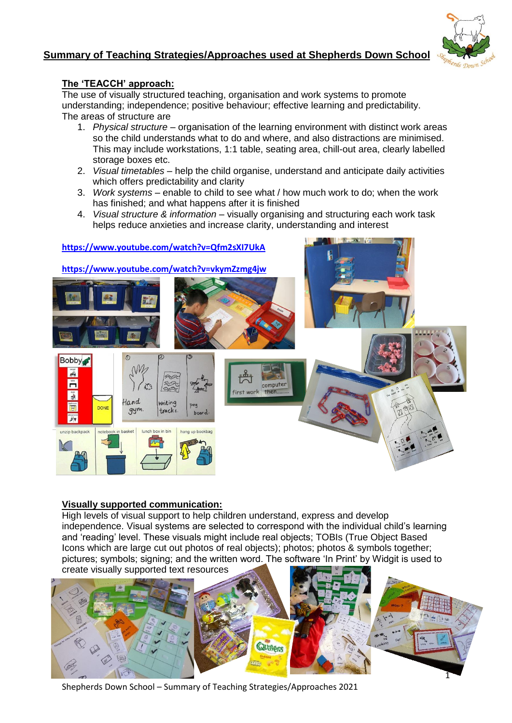# **Summary of Teaching Strategies/Approaches used at Shepherds Down School**



### **The 'TEACCH' approach:**

The use of visually structured teaching, organisation and work systems to promote understanding; independence; positive behaviour; effective learning and predictability. The areas of structure are

- 1. *Physical structure* organisation of the learning environment with distinct work areas so the child understands what to do and where, and also distractions are minimised. This may include workstations, 1:1 table, seating area, chill-out area, clearly labelled storage boxes etc.
- 2. *Visual timetables*  help the child organise, understand and anticipate daily activities which offers predictability and clarity
- 3. *Work systems*  enable to child to see what / how much work to do; when the work has finished; and what happens after it is finished
- 4. *Visual structure & information* visually organising and structuring each work task helps reduce anxieties and increase clarity, understanding and interest



### **Visually supported communication:**

High levels of visual support to help children understand, express and develop independence. Visual systems are selected to correspond with the individual child's learning and 'reading' level. These visuals might include real objects; TOBIs (True Object Based Icons which are large cut out photos of real objects); photos; photos & symbols together; pictures; symbols; signing; and the written word. The software 'In Print' by Widgit is used to



Shepherds Down School – Summary of Teaching Strategies/Approaches 2021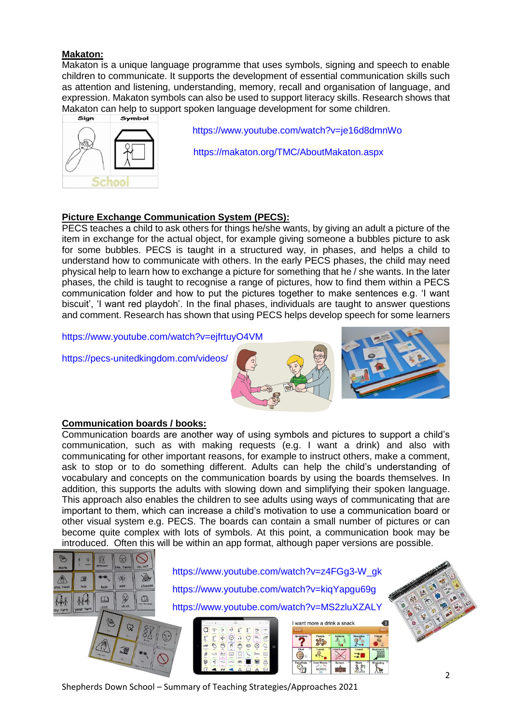### **Makaton:**

Makaton is a unique language programme that uses symbols, signing and speech to enable children to communicate. It supports the development of essential communication skills such as attention and listening, understanding, memory, recall and organisation of language, and expression. Makaton symbols can also be used to support literacy skills. Research shows that Makaton can help to support spoken language development for some children.



 <https://www.youtube.com/watch?v=je16d8dmnWo> <https://makaton.org/TMC/AboutMakaton.aspx>

## **Picture Exchange Communication System (PECS):**

PECS teaches a child to ask others for things he/she wants, by giving an adult a picture of the item in exchange for the actual object, for example giving someone a bubbles picture to ask for some bubbles. PECS is taught in a structured way, in phases, and helps a child to understand how to communicate with others. In the early PECS phases, the child may need physical help to learn how to exchange a picture for something that he / she wants. In the later phases, the child is taught to recognise a range of pictures, how to find them within a PECS communication folder and how to put the pictures together to make sentences e.g. 'I want biscuit', 'I want red playdoh'. In the final phases, individuals are taught to answer questions and comment. Research has shown that using PECS helps develop speech for some learners

<https://www.youtube.com/watch?v=ejfrtuyO4VM>

<https://pecs-unitedkingdom.com/videos/>



## **Communication boards / books:**

Communication boards are another way of using symbols and pictures to support a child's communication, such as with making requests (e.g. I want a drink) and also with communicating for other important reasons, for example to instruct others, make a comment, ask to stop or to do something different. Adults can help the child's understanding of vocabulary and concepts on the communication boards by using the boards themselves. In addition, this supports the adults with slowing down and simplifying their spoken language. This approach also enables the children to see adults using ways of communicating that are important to them, which can increase a child's motivation to use a communication board or other visual system e.g. PECS. The boards can contain a small number of pictures or can become quite complex with lots of symbols. At this point, a communication book may be introduced. Often this will be within an app format, although paper versions are possible.



Shepherds Down School – Summary of Teaching Strategies/Approaches 2021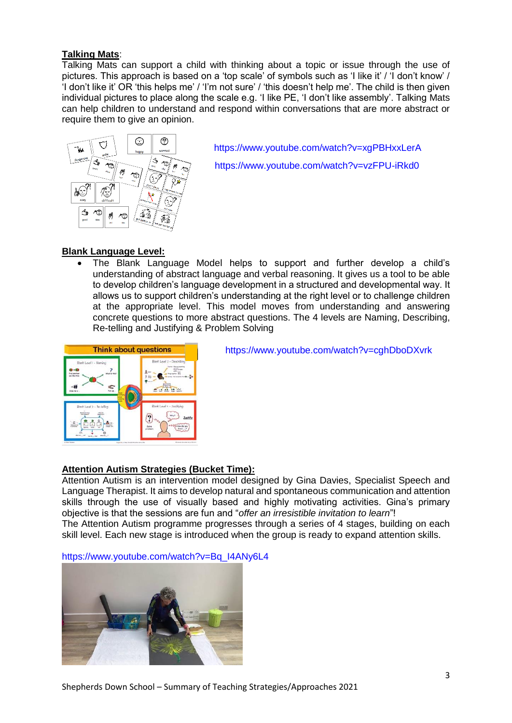### **Talking Mats**:

Talking Mats can support a child with thinking about a topic or issue through the use of pictures. This approach is based on a 'top scale' of symbols such as 'I like it' / 'I don't know' / 'I don't like it' OR 'this helps me' / 'I'm not sure' / 'this doesn't help me'. The child is then given individual pictures to place along the scale e.g. 'I like PE, 'I don't like assembly'. Talking Mats can help children to understand and respond within conversations that are more abstract or require them to give an opinion.



<sup>®</sup> | https://www.youtube.com/watch?v=xqPBHxxLerA <https://www.youtube.com/watch?v=vzFPU-iRkd0>

## **Blank Language Level:**

• The Blank Language Model helps to support and further develop a child's understanding of abstract language and verbal reasoning. It gives us a tool to be able to develop children's language development in a structured and developmental way. It allows us to support children's understanding at the right level or to challenge children at the appropriate level. This model moves from understanding and answering concrete questions to more abstract questions. The 4 levels are Naming, Describing, Re-telling and Justifying & Problem Solving



Think about questions <https://www.youtube.com/watch?v=cghDboDXvrk>

### **Attention Autism Strategies (Bucket Time):**

Attention Autism is an intervention model designed by Gina Davies, Specialist Speech and Language Therapist. It aims to develop natural and spontaneous communication and attention skills through the use of visually based and highly motivating activities. Gina's primary objective is that the sessions are fun and "*offer an irresistible invitation to learn*"! The Attention Autism programme progresses through a series of 4 stages, building on each skill level. Each new stage is introduced when the group is ready to expand attention skills.

[https://www.youtube.com/watch?v=Bq\\_I4ANy6L4](https://www.youtube.com/watch?v=Bq_I4ANy6L4)

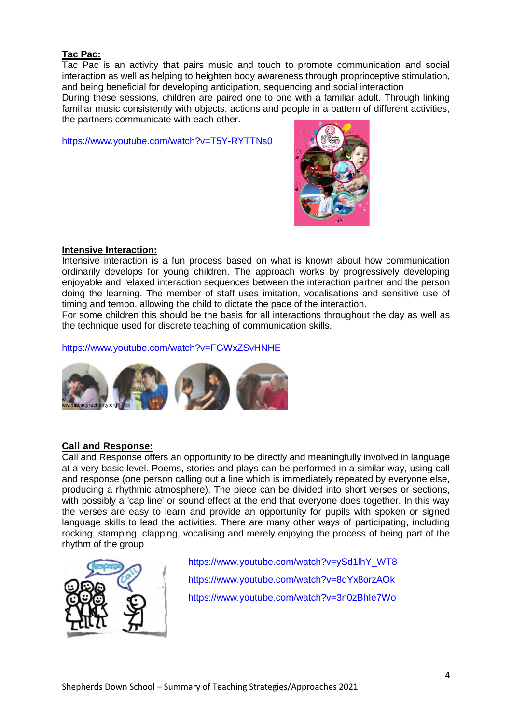### **Tac Pac:**

Tac Pac is an activity that pairs music and touch to promote communication and social interaction as well as helping to heighten body awareness through proprioceptive stimulation, and being beneficial for developing anticipation, sequencing and social interaction

During these sessions, children are paired one to one with a familiar adult. Through linking familiar music consistently with objects, actions and people in a pattern of different activities, the partners communicate with each other.

<https://www.youtube.com/watch?v=T5Y-RYTTNs0>



#### **Intensive Interaction:**

Intensive interaction is a fun process based on what is known about how communication ordinarily develops for young children. The approach works by progressively developing enjoyable and relaxed interaction sequences between the interaction partner and the person doing the learning. The member of staff uses imitation, vocalisations and sensitive use of timing and tempo, allowing the child to dictate the pace of the interaction.

For some children this should be the basis for all interactions throughout the day as well as the technique used for discrete teaching of communication skills.

<https://www.youtube.com/watch?v=FGWxZSvHNHE>



### **Call and Response:**

Call and Response offers an opportunity to be directly and meaningfully involved in language at a very basic level. Poems, stories and plays can be performed in a similar way, using call and response (one person calling out a line which is immediately repeated by everyone else, producing a rhythmic atmosphere). The piece can be divided into short verses or sections, with possibly a 'cap line' or sound effect at the end that everyone does together. In this way the verses are easy to learn and provide an opportunity for pupils with spoken or signed language skills to lead the activities. There are many other ways of participating, including rocking, stamping, clapping, vocalising and merely enjoying the process of being part of the rhythm of the group



 [https://www.youtube.com/watch?v=ySd1lhY\\_WT8](https://www.youtube.com/watch?v=ySd1lhY_WT8) <https://www.youtube.com/watch?v=8dYx8orzAOk> <https://www.youtube.com/watch?v=3n0zBhIe7Wo>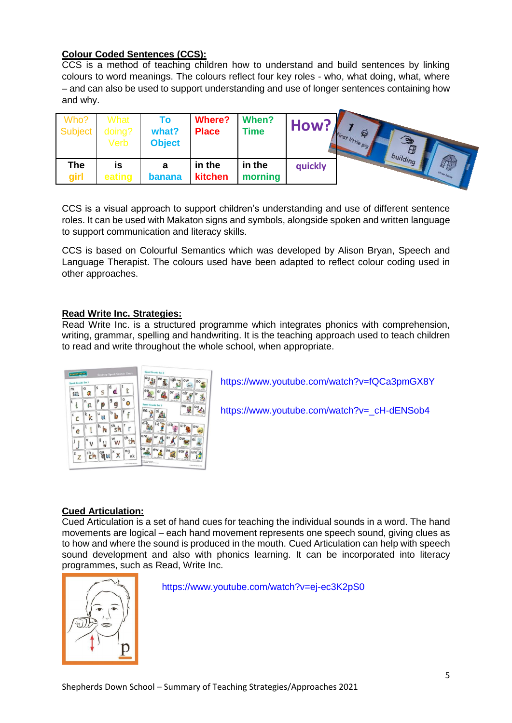## **Colour Coded Sentences (CCS):**

CCS is a method of teaching children how to understand and build sentences by linking colours to word meanings. The colours reflect four key roles - who, what doing, what, where – and can also be used to support understanding and use of longer sentences containing how and why.

| Who?<br>Subject | What<br>doing?<br>Verb | Τo<br>what?<br><b>Object</b> | <b>Where?</b><br><b>Place</b> | When?<br><b>Time</b> | How?    | ଛ<br>$\widehat{\bullet}$<br>Irst little pig<br>building |
|-----------------|------------------------|------------------------------|-------------------------------|----------------------|---------|---------------------------------------------------------|
| The<br>girl     | IS<br>eating           | a<br>banana                  | in the<br>kitchen             | in the<br>morning    | quickly |                                                         |

CCS is a visual approach to support children's understanding and use of different sentence roles. It can be used with Makaton signs and symbols, alongside spoken and written language to support communication and literacy skills.

CCS is based on Colourful Semantics which was developed by Alison Bryan, Speech and Language Therapist. The colours used have been adapted to reflect colour coding used in other approaches.

### **Read Write Inc. Strategies:**

Read Write Inc. is a structured programme which integrates phonics with comprehension, writing, grammar, spelling and handwriting. It is the teaching approach used to teach children to read and write throughout the whole school, when appropriate.



<https://www.youtube.com/watch?v=fQCa3pmGX8Y>

[https://www.youtube.com/watch?v=\\_cH-dENSob4](https://www.youtube.com/watch?v=_cH-dENSob4)

## **Cued Articulation:**

Cued Articulation is a set of hand cues for teaching the individual sounds in a word. The hand movements are logical – each hand movement represents one speech sound, giving clues as to how and where the sound is produced in the mouth. Cued Articulation can help with speech sound development and also with phonics learning. It can be incorporated into literacy programmes, such as Read, Write Inc.



<https://www.youtube.com/watch?v=ej-ec3K2pS0>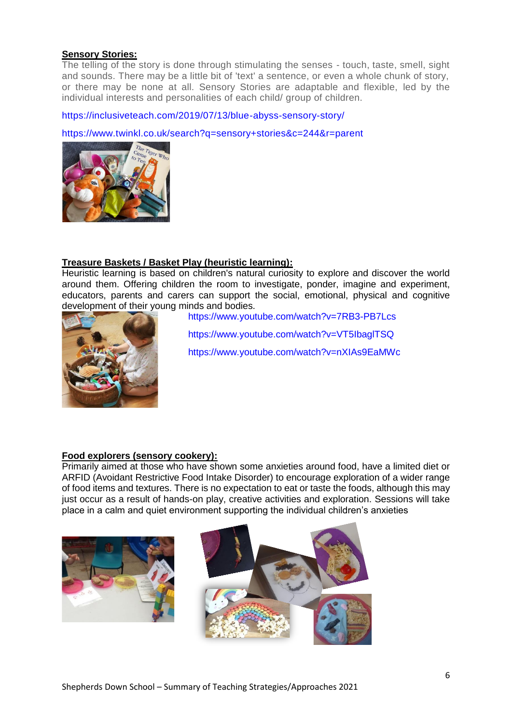### **Sensory Stories:**

The telling of the story is done through stimulating the senses - touch, taste, smell, sight and sounds. There may be a little bit of 'text' a sentence, or even a whole chunk of story, or there may be none at all. Sensory Stories are adaptable and flexible, led by the individual interests and personalities of each child/ group of children.

<https://inclusiveteach.com/2019/07/13/blue-abyss-sensory-story/>

#### <https://www.twinkl.co.uk/search?q=sensory+stories&c=244&r=parent>



### **Treasure Baskets / Basket Play (heuristic learning):**

Heuristic learning is based on children's natural curiosity to explore and discover the world around them. Offering children the room to investigate, ponder, imagine and experiment, educators, parents and carers can support the social, emotional, physical and cognitive development of their young minds and bodies.



 <https://www.youtube.com/watch?v=7RB3-PB7Lcs> <https://www.youtube.com/watch?v=VT5IbaglTSQ> <https://www.youtube.com/watch?v=nXIAs9EaMWc>

### **Food explorers (sensory cookery):**

Primarily aimed at those who have shown some anxieties around food, have a limited diet or ARFID (Avoidant Restrictive Food Intake Disorder) to encourage exploration of a wider range of food items and textures. There is no expectation to eat or taste the foods, although this may just occur as a result of hands-on play, creative activities and exploration. Sessions will take place in a calm and quiet environment supporting the individual children's anxieties